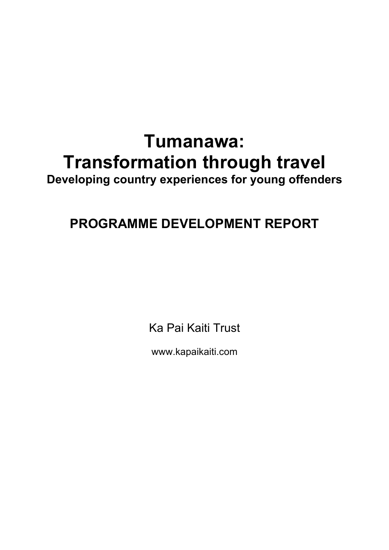# **Tumanawa: Transformation through travel**

**Developing country experiences for young offenders**

# **PROGRAMME DEVELOPMENT REPORT**

Ka Pai Kaiti Trust

www.kapaikaiti.com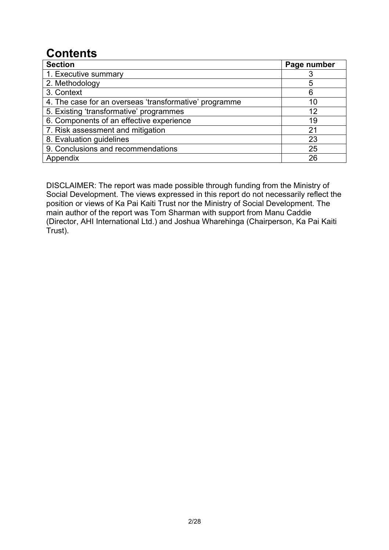# **Contents**

| <b>Section</b>                                         | Page number |
|--------------------------------------------------------|-------------|
| 1. Executive summary                                   |             |
| 2. Methodology                                         | 5           |
| 3. Context                                             | 6           |
| 4. The case for an overseas 'transformative' programme | 10          |
| 5. Existing 'transformative' programmes                | 12          |
| 6. Components of an effective experience               | 19          |
| 7. Risk assessment and mitigation                      | 21          |
| 8. Evaluation guidelines                               | 23          |
| 9. Conclusions and recommendations                     | 25          |
| Appendix                                               | 26          |

DISCLAIMER: The report was made possible through funding from the Ministry of Social Development. The views expressed in this report do not necessarily reflect the position or views of Ka Pai Kaiti Trust nor the Ministry of Social Development. The main author of the report was Tom Sharman with support from Manu Caddie (Director, AHI International Ltd.) and Joshua Wharehinga (Chairperson, Ka Pai Kaiti Trust).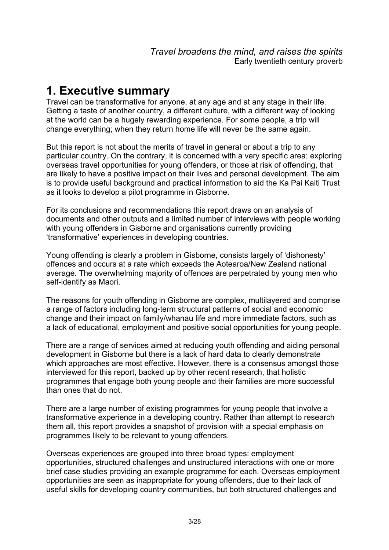# **1. Executive summary**

Travel can be transformative for anyone, at any age and at any stage in their life. Getting a taste of another country, a different culture, with a different way of looking at the world can be a hugely rewarding experience. For some people, a trip will change everything; when they return home life will never be the same again.

But this report is not about the merits of travel in general or about a trip to any particular country. On the contrary, it is concerned with a very specific area: exploring overseas travel opportunities for young offenders, or those at risk of offending, that are likely to have a positive impact on their lives and personal development. The aim is to provide useful background and practical information to aid the Ka Pai Kaiti Trust as it looks to develop a pilot programme in Gisborne.

For its conclusions and recommendations this report draws on an analysis of documents and other outputs and a limited number of interviews with people working with young offenders in Gisborne and organisations currently providing 'transformative' experiences in developing countries.

Young offending is clearly a problem in Gisborne, consists largely of 'dishonesty' offences and occurs at a rate which exceeds the Aotearoa/New Zealand national average. The overwhelming majority of offences are perpetrated by young men who self-identify as Maori.

The reasons for youth offending in Gisborne are complex, multilayered and comprise a range of factors including long-term structural patterns of social and economic change and their impact on family/whanau life and more immediate factors, such as a lack of educational, employment and positive social opportunities for young people.

There are a range of services aimed at reducing youth offending and aiding personal development in Gisborne but there is a lack of hard data to clearly demonstrate which approaches are most effective. However, there is a consensus amongst those interviewed for this report, backed up by other recent research, that holistic programmes that engage both young people and their families are more successful than ones that do not.

There are a large number of existing programmes for young people that involve a transformative experience in a developing country. Rather than attempt to research them all, this report provides a snapshot of provision with a special emphasis on programmes likely to be relevant to young offenders.

Overseas experiences are grouped into three broad types: employment opportunities, structured challenges and unstructured interactions with one or more brief case studies providing an example programme for each. Overseas employment opportunities are seen as inappropriate for young offenders, due to their lack of useful skills for developing country communities, but both structured challenges and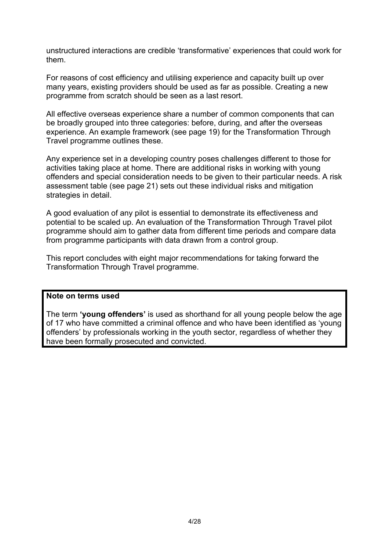unstructured interactions are credible 'transformative' experiences that could work for them.

For reasons of cost efficiency and utilising experience and capacity built up over many years, existing providers should be used as far as possible. Creating a new programme from scratch should be seen as a last resort.

All effective overseas experience share a number of common components that can be broadly grouped into three categories: before, during, and after the overseas experience. An example framework (see page 19) for the Transformation Through Travel programme outlines these.

Any experience set in a developing country poses challenges different to those for activities taking place at home. There are additional risks in working with young offenders and special consideration needs to be given to their particular needs. A risk assessment table (see page 21) sets out these individual risks and mitigation strategies in detail.

A good evaluation of any pilot is essential to demonstrate its effectiveness and potential to be scaled up. An evaluation of the Transformation Through Travel pilot programme should aim to gather data from different time periods and compare data from programme participants with data drawn from a control group.

This report concludes with eight major recommendations for taking forward the Transformation Through Travel programme.

#### **Note on terms used**

The term **'young offenders'** is used as shorthand for all young people below the age of 17 who have committed a criminal offence and who have been identified as 'young offenders' by professionals working in the youth sector, regardless of whether they have been formally prosecuted and convicted.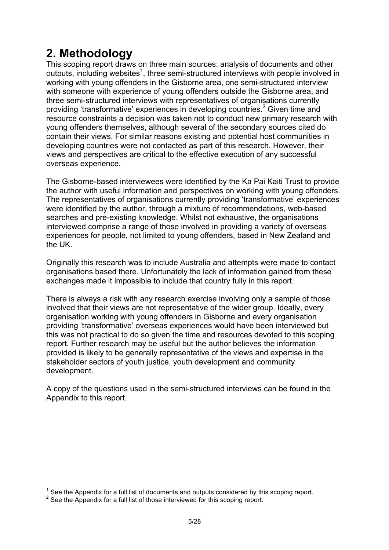# **2. Methodology**

This scoping report draws on three main sources: analysis of documents and other outputs, including websites<sup>1</sup>, three semi-structured interviews with people involved in working with young offenders in the Gisborne area, one semi-structured interview with someone with experience of young offenders outside the Gisborne area, and three semi-structured interviews with representatives of organisations currently providing 'transformative' experiences in developing countries.<sup>2</sup> Given time and resource constraints a decision was taken not to conduct new primary research with young offenders themselves, although several of the secondary sources cited do contain their views. For similar reasons existing and potential host communities in developing countries were not contacted as part of this research. However, their views and perspectives are critical to the effective execution of any successful overseas experience.

The Gisborne-based interviewees were identified by the Ka Pai Kaiti Trust to provide the author with useful information and perspectives on working with young offenders. The representatives of organisations currently providing 'transformative' experiences were identified by the author, through a mixture of recommendations, web-based searches and pre-existing knowledge. Whilst not exhaustive, the organisations interviewed comprise a range of those involved in providing a variety of overseas experiences for people, not limited to young offenders, based in New Zealand and the UK.

Originally this research was to include Australia and attempts were made to contact organisations based there. Unfortunately the lack of information gained from these exchanges made it impossible to include that country fully in this report.

There is always a risk with any research exercise involving only a sample of those involved that their views are not representative of the wider group. Ideally, every organisation working with young offenders in Gisborne and every organisation providing 'transformative' overseas experiences would have been interviewed but this was not practical to do so given the time and resources devoted to this scoping report. Further research may be useful but the author believes the information provided is likely to be generally representative of the views and expertise in the stakeholder sectors of youth justice, youth development and community development.

A copy of the questions used in the semi-structured interviews can be found in the Appendix to this report.

See the Appendix for a full list of documents and outputs considered by this scoping report.

<sup>&</sup>lt;sup>2</sup> See the Appendix for a full list of those interviewed for this scoping report.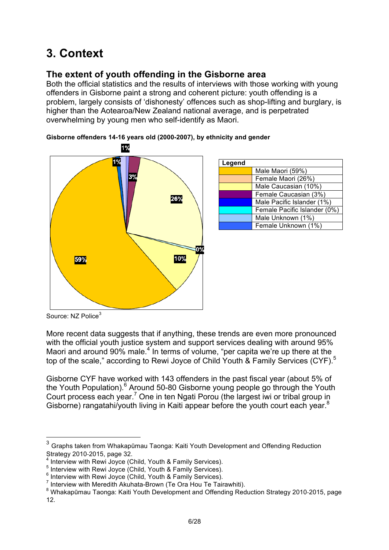# **3. Context**

## **The extent of youth offending in the Gisborne area**

Both the official statistics and the results of interviews with those working with young offenders in Gisborne paint a strong and coherent picture: youth offending is a problem, largely consists of 'dishonesty' offences such as shop-lifting and burglary, is higher than the Aotearoa/New Zealand national average, and is perpetrated overwhelming by young men who self-identify as Maori.



| Legend |                              |
|--------|------------------------------|
|        | Male Maori (59%)             |
|        | Female Maori (26%)           |
|        | Male Caucasian (10%)         |
|        | Female Caucasian (3%)        |
|        | Male Pacific Islander (1%)   |
|        | Female Pacific Islander (0%) |
|        | Male Unknown (1%)            |
|        | Female Unknown (1%)          |

**Gisborne offenders 14-16 years old (2000-2007), by ethnicity and gender**

Source: NZ Police<sup>3</sup>

More recent data suggests that if anything, these trends are even more pronounced with the official youth justice system and support services dealing with around 95% Maori and around 90% male.<sup>4</sup> In terms of volume, "per capita we're up there at the top of the scale," according to Rewi Joyce of Child Youth & Family Services (CYF).<sup>5</sup>

Gisborne CYF have worked with 143 offenders in the past fiscal year (about 5% of the Youth Population).<sup>6</sup> Around 50-80 Gisborne young people go through the Youth Court process each year.<sup>7</sup> One in ten Ngati Porou (the largest iwi or tribal group in Gisborne) rangatahi/youth living in Kaiti appear before the youth court each year.<sup>8</sup>

 <sup>3</sup> Graphs taken from Whakapūmau Taonga: Kaiti Youth Development and Offending Reduction Strategy 2010-2015, page 32.

<sup>&</sup>lt;sup>4</sup> Interview with Rewi Joyce (Child, Youth & Family Services).<br><sup>5</sup> Interview with Rewi Joyce (Child, Youth & Family Services).

<sup>&</sup>lt;sup>6</sup> Interview with Rewi Joyce (Child, Youth & Family Services).<br><sup>6</sup> Interview with Rewi Joyce (Child, Youth & Family Services).<br><sup>7</sup> Interview with Meredith Akuhata-Brown (Te Ora Hou Te Tairawhiti).

<sup>&</sup>lt;sup>8</sup> Whakapūmau Taonga: Kaiti Youth Development and Offending Reduction Strategy 2010-2015, page 12.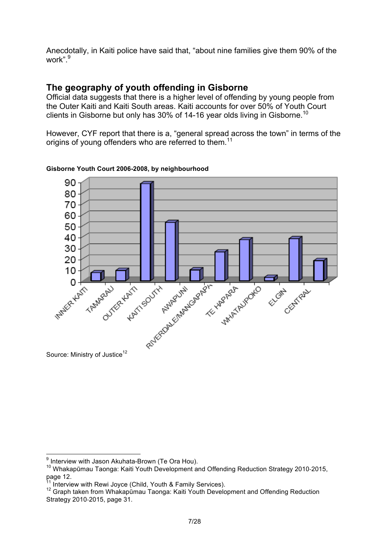Anecdotally, in Kaiti police have said that, "about nine families give them 90% of the work".<sup>9</sup>

### **The geography of youth offending in Gisborne**

Official data suggests that there is a higher level of offending by young people from the Outer Kaiti and Kaiti South areas. Kaiti accounts for over 50% of Youth Court clients in Gisborne but only has 30% of 14-16 year olds living in Gisborne.<sup>10</sup>

However, CYF report that there is a, "general spread across the town" in terms of the origins of young offenders who are referred to them.<sup>11</sup>



**Gisborne Youth Court 2006-2008, by neighbourhood**

 $9$  Interview with Jason Akuhata-Brown (Te Ora Hou).

<sup>10</sup> Whakapūmau Taonga: Kaiti Youth Development and Offending Reduction Strategy 2010-2015, page 12.<br><sup>11</sup> Interview with Rewi Jovce (Child. Youth & Family Services).

<sup>12</sup> Graph taken from Whakapūmau Taonga: Kaiti Youth Development and Offending Reduction Strategy 2010-2015, page 31.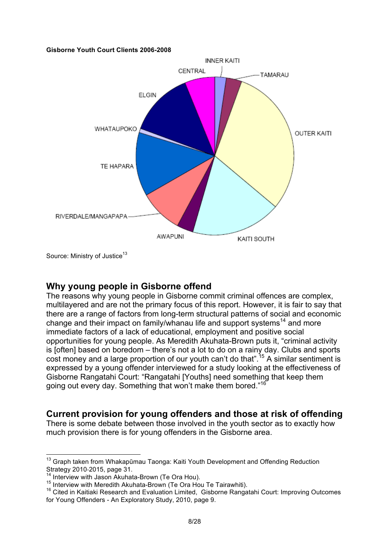#### **Gisborne Youth Court Clients 2006-2008**



Source: Ministry of Justice<sup>13</sup>

#### **Why young people in Gisborne offend**

The reasons why young people in Gisborne commit criminal offences are complex, multilayered and are not the primary focus of this report. However, it is fair to say that there are a range of factors from long-term structural patterns of social and economic change and their impact on family/whanau life and support systems<sup>14</sup> and more immediate factors of a lack of educational, employment and positive social opportunities for young people. As Meredith Akuhata-Brown puts it, "criminal activity is [often] based on boredom – there's not a lot to do on a rainy day. Clubs and sports cost money and a large proportion of our youth can't do that".<sup>15</sup> A similar sentiment is expressed by a young offender interviewed for a study looking at the effectiveness of Gisborne Rangatahi Court: "Rangatahi [Youths] need something that keep them going out every day. Something that won't make them bored."<sup>16</sup>

#### **Current provision for young offenders and those at risk of offending**

There is some debate between those involved in the youth sector as to exactly how much provision there is for young offenders in the Gisborne area.

<sup>&</sup>lt;sup>13</sup> Graph taken from Whakapūmau Taonga: Kaiti Youth Development and Offending Reduction Strategy 2010-2015, page 31.<br><sup>14</sup> Interview with Jason Akuhata-Brown (Te Ora Hou).

<sup>15</sup> Interview with Jason Akuhata-Brown (Te Ora Hou).<br><sup>15</sup> Interview with Meredith Akuhata-Brown (Te Ora Hou Te Tairawhiti).<br><sup>16</sup> Cited in Kaitiaki Research and Evaluation Limited, Gisborne Rangatahi Court: Improving Outcome for Young Offenders - An Exploratory Study, 2010, page 9.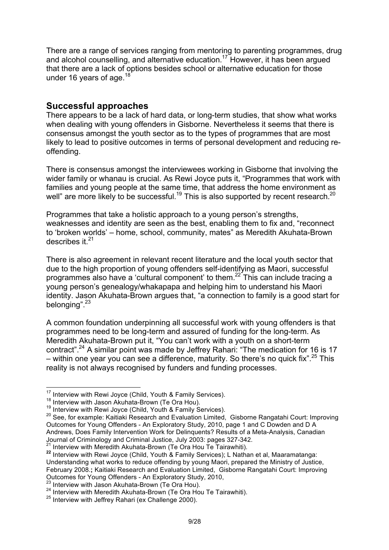There are a range of services ranging from mentoring to parenting programmes, drug and alcohol counselling, and alternative education. <sup>17</sup> However, it has been argued that there are a lack of options besides school or alternative education for those under 16 years of age. $18$ 

#### **Successful approaches**

There appears to be a lack of hard data, or long-term studies, that show what works when dealing with young offenders in Gisborne. Nevertheless it seems that there is consensus amongst the youth sector as to the types of programmes that are most likely to lead to positive outcomes in terms of personal development and reducing reoffending.

There is consensus amongst the interviewees working in Gisborne that involving the wider family or whanau is crucial. As Rewi Joyce puts it, "Programmes that work with families and young people at the same time, that address the home environment as well" are more likely to be successful.<sup>19</sup> This is also supported by recent research.<sup>20</sup>

Programmes that take a holistic approach to a young person's strengths, weaknesses and identity are seen as the best, enabling them to fix and, "reconnect to 'broken worlds' – home, school, community, mates" as Meredith Akuhata-Brown describes it.<sup>21</sup>

There is also agreement in relevant recent literature and the local youth sector that due to the high proportion of young offenders self-identifying as Maori, successful programmes also have a 'cultural component' to them.22 This can include tracing a young person's genealogy/whakapapa and helping him to understand his Maori identity. Jason Akuhata-Brown argues that, "a connection to family is a good start for belonging".23

A common foundation underpinning all successful work with young offenders is that programmes need to be long-term and assured of funding for the long-term. As Meredith Akuhata-Brown put it, "You can't work with a youth on a short-term contract".<sup>24</sup> A similar point was made by Jeffrey Rahari: "The medication for 16 is 17 – within one year you can see a difference, maturity. So there's no quick fix".  $25$  This reality is not always recognised by funders and funding processes.

<sup>&</sup>lt;sup>17</sup> Interview with Rewi Joyce (Child, Youth & Family Services).<br><sup>18</sup> Interview with Jason Akuhata-Brown (Te Ora Hou).<br><sup>19</sup> Interview with Rewi Joyce (Child, Youth & Family Services).<br><sup>20</sup> See, for example: Kaitiaki Resea Outcomes for Young Offenders - An Exploratory Study, 2010, page 1 and C Dowden and D A Andrews, Does Family Intervention Work for Delinquents? Results of a Meta-Analysis, Canadian Journal of Criminology and Criminal Justice, July 2003: pages 327-342.<br><sup>21</sup> Interview with Meredith Akuhata-Brown (Te Ora Hou Te Tairawhiti).

<sup>22</sup> Interview with Rewi Joyce (Child, Youth & Family Services); L Nathan et al, Maaramatanga: Understanding what works to reduce offending by young Maori, prepared the Ministry of Justice, February 2008.**;** Kaitiaki Research and Evaluation Limited, Gisborne Rangatahi Court: Improving

<sup>&</sup>lt;sup>23</sup> Interview with Jason Akuhata-Brown (Te Ora Hou).<br><sup>24</sup> Interview with Meredith Akuhata-Brown (Te Ora Hou Te Tairawhiti).<br><sup>25</sup> Interview with Jeffrey Rahari (ex Challenge 2000).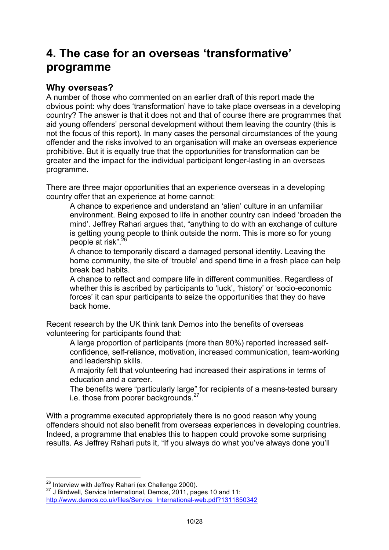# **4. The case for an overseas 'transformative' programme**

### **Why overseas?**

A number of those who commented on an earlier draft of this report made the obvious point: why does 'transformation' have to take place overseas in a developing country? The answer is that it does not and that of course there are programmes that aid young offenders' personal development without them leaving the country (this is not the focus of this report). In many cases the personal circumstances of the young offender and the risks involved to an organisation will make an overseas experience prohibitive. But it is equally true that the opportunities for transformation can be greater and the impact for the individual participant longer-lasting in an overseas programme.

There are three major opportunities that an experience overseas in a developing country offer that an experience at home cannot:

 A chance to experience and understand an 'alien' culture in an unfamiliar environment. Being exposed to life in another country can indeed 'broaden the mind'. Jeffrey Rahari argues that, "anything to do with an exchange of culture is getting young people to think outside the norm. This is more so for young people at risk".<sup>26</sup>

 A chance to temporarily discard a damaged personal identity. Leaving the home community, the site of 'trouble' and spend time in a fresh place can help break bad habits.

 A chance to reflect and compare life in different communities. Regardless of whether this is ascribed by participants to 'luck', 'history' or 'socio-economic forces' it can spur participants to seize the opportunities that they do have back home.

Recent research by the UK think tank Demos into the benefits of overseas volunteering for participants found that:

 A large proportion of participants (more than 80%) reported increased selfconfidence, self-reliance, motivation, increased communication, team-working and leadership skills.

 A majority felt that volunteering had increased their aspirations in terms of education and a career.

 The benefits were "particularly large" for recipients of a means-tested bursary i.e. those from poorer backgrounds.<sup>27</sup>

With a programme executed appropriately there is no good reason why young offenders should not also benefit from overseas experiences in developing countries. Indeed, a programme that enables this to happen could provoke some surprising results. As Jeffrey Rahari puts it, "If you always do what you've always done you'll

<sup>&</sup>lt;sup>26</sup> Interview with Jeffrey Rahari (ex Challenge 2000).<br><sup>27</sup> J Birdwell, Service International, Demos, 2011, pages 10 and 11: http://www.demos.co.uk/files/Service\_International-web.pdf?1311850342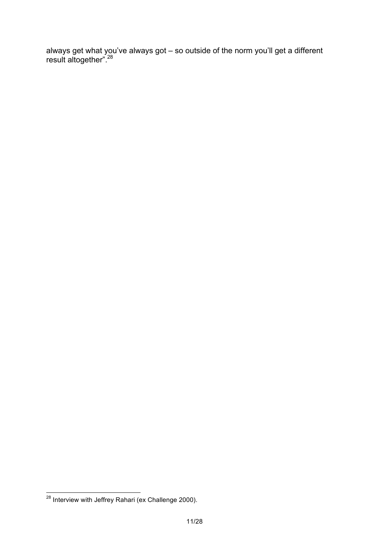always get what you've always got – so outside of the norm you'll get a different result altogether".<sup>28</sup>

<sup>&</sup>lt;sup>28</sup> Interview with Jeffrey Rahari (ex Challenge 2000).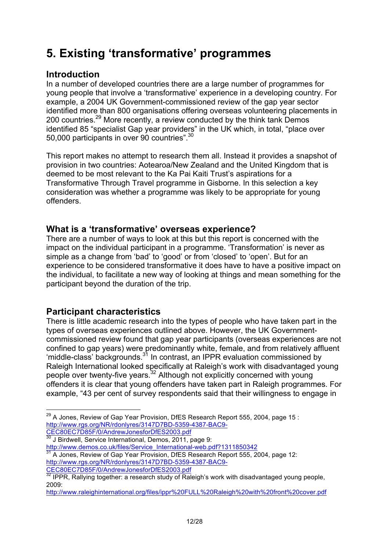# **5. Existing 'transformative' programmes**

## **Introduction**

In a number of developed countries there are a large number of programmes for young people that involve a 'transformative' experience in a developing country. For example, a 2004 UK Government-commissioned review of the gap year sector identified more than 800 organisations offering overseas volunteering placements in 200 countries.29 More recently, a review conducted by the think tank Demos identified 85 "specialist Gap year providers" in the UK which, in total, "place over 50,000 participants in over 90 countries".30

This report makes no attempt to research them all. Instead it provides a snapshot of provision in two countries: Aotearoa/New Zealand and the United Kingdom that is deemed to be most relevant to the Ka Pai Kaiti Trust's aspirations for a Transformative Through Travel programme in Gisborne. In this selection a key consideration was whether a programme was likely to be appropriate for young offenders.

### **What is a 'transformative' overseas experience?**

There are a number of ways to look at this but this report is concerned with the impact on the individual participant in a programme. 'Transformation' is never as simple as a change from 'bad' to 'good' or from 'closed' to 'open'. But for an experience to be considered transformative it does have to have a positive impact on the individual, to facilitate a new way of looking at things and mean something for the participant beyond the duration of the trip.

### **Participant characteristics**

There is little academic research into the types of people who have taken part in the types of overseas experiences outlined above. However, the UK Governmentcommissioned review found that gap year participants (overseas experiences are not confined to gap years) were predominantly white, female, and from relatively affluent 'middle-class' backgrounds.31 In contrast, an IPPR evaluation commissioned by Raleigh International looked specifically at Raleigh's work with disadvantaged young people over twenty-five years.<sup>32</sup> Although not explicitly concerned with young offenders it is clear that young offenders have taken part in Raleigh programmes. For example, "43 per cent of survey respondents said that their willingness to engage in

http://www.demos.co.uk/files/Service\_International-web.pdf?1311850342<br>31 A Jones, Review of Gap Year Provision, DfES Research Report 555, 2004, page 12: http://www.rgs.org/NR/rdonlyres/3147D7BD-5359-4387-BAC9- CEC80EC7D85F/0/AndrewJonesforDfES2003.pdf

 $^{29}$  A Jones, Review of Gap Year Provision, DfES Research Report 555, 2004, page 15 : http://www.rgs.org/NR/rdonlyres/3147D7BD-5359-4387-BAC9- CEC80EC7D85F/0/AndrewJonesforDfES2003.pdf

<sup>&</sup>lt;sup>30</sup> J Birdwell, Service International, Demos, 2011, page 9:

 $32$  IPPR, Rallying together: a research study of Raleigh's work with disadvantaged young people, 2009:

http://www.raleighinternational.org/files/ippr%20FULL%20Raleigh%20with%20front%20cover.pdf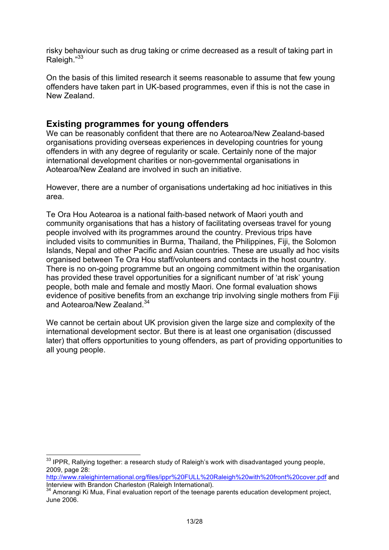risky behaviour such as drug taking or crime decreased as a result of taking part in Raleigh."33

On the basis of this limited research it seems reasonable to assume that few young offenders have taken part in UK-based programmes, even if this is not the case in New Zealand.

#### **Existing programmes for young offenders**

We can be reasonably confident that there are no Aotearoa/New Zealand-based organisations providing overseas experiences in developing countries for young offenders in with any degree of regularity or scale. Certainly none of the major international development charities or non-governmental organisations in Aotearoa/New Zealand are involved in such an initiative.

However, there are a number of organisations undertaking ad hoc initiatives in this area.

Te Ora Hou Aotearoa is a national faith-based network of Maori youth and community organisations that has a history of facilitating overseas travel for young people involved with its programmes around the country. Previous trips have included visits to communities in Burma, Thailand, the Philippines, Fiji, the Solomon Islands, Nepal and other Pacific and Asian countries. These are usually ad hoc visits organised between Te Ora Hou staff/volunteers and contacts in the host country. There is no on-going programme but an ongoing commitment within the organisation has provided these travel opportunities for a significant number of 'at risk' young people, both male and female and mostly Maori. One formal evaluation shows evidence of positive benefits from an exchange trip involving single mothers from Fiji and Aotearoa/New Zealand.<sup>34</sup>

We cannot be certain about UK provision given the large size and complexity of the international development sector. But there is at least one organisation (discussed later) that offers opportunities to young offenders, as part of providing opportunities to all young people.

<sup>&</sup>lt;sup>33</sup> IPPR. Rallvina together: a research study of Raleigh's work with disadvantaged young people, 2009, page 28:

http://www.raleighinternational.org/files/ippr%20FULL%20Raleigh%20with%20front%20cover.pdf and<br>Interview with Brandon Charleston (Raleigh International).

 $4$  Amorangi Ki Mua, Final evaluation report of the teenage parents education development project, June 2006.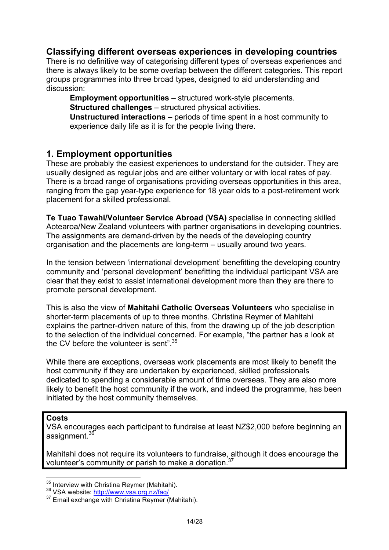### **Classifying different overseas experiences in developing countries**

There is no definitive way of categorising different types of overseas experiences and there is always likely to be some overlap between the different categories. This report groups programmes into three broad types, designed to aid understanding and discussion:

**Employment opportunities** – structured work-style placements.

**Structured challenges** – structured physical activities.

 **Unstructured interactions** – periods of time spent in a host community to experience daily life as it is for the people living there.

#### **1. Employment opportunities**

These are probably the easiest experiences to understand for the outsider. They are usually designed as regular jobs and are either voluntary or with local rates of pay. There is a broad range of organisations providing overseas opportunities in this area, ranging from the gap year-type experience for 18 year olds to a post-retirement work placement for a skilled professional.

**Te Tuao Tawahi/Volunteer Service Abroad (VSA)** specialise in connecting skilled Aotearoa/New Zealand volunteers with partner organisations in developing countries. The assignments are demand-driven by the needs of the developing country organisation and the placements are long-term – usually around two years.

In the tension between 'international development' benefitting the developing country community and 'personal development' benefitting the individual participant VSA are clear that they exist to assist international development more than they are there to promote personal development.

This is also the view of **Mahitahi Catholic Overseas Volunteers** who specialise in shorter-term placements of up to three months. Christina Reymer of Mahitahi explains the partner-driven nature of this, from the drawing up of the job description to the selection of the individual concerned. For example, "the partner has a look at the CV before the volunteer is sent".<sup>35</sup>

While there are exceptions, overseas work placements are most likely to benefit the host community if they are undertaken by experienced, skilled professionals dedicated to spending a considerable amount of time overseas. They are also more likely to benefit the host community if the work, and indeed the programme, has been initiated by the host community themselves.

#### **Costs**

VSA encourages each participant to fundraise at least NZ\$2,000 before beginning an assignment.<sup>36</sup>

Mahitahi does not require its volunteers to fundraise, although it does encourage the volunteer's community or parish to make a donation.37

<sup>&</sup>lt;sup>35</sup> Interview with Christina Reymer (Mahitahi).<br><sup>36</sup> VSA website: http://www.vsa.org.nz/faq/<br><sup>37</sup> Email exchange with Christina Reymer (Mahitahi).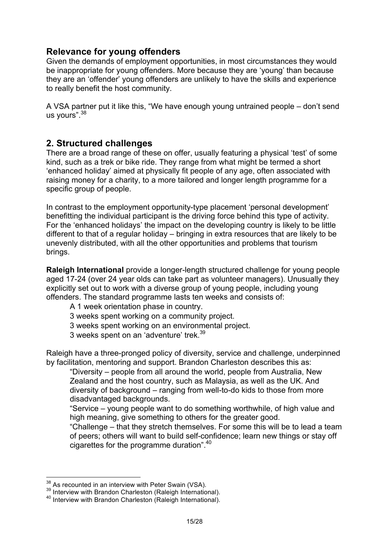#### **Relevance for young offenders**

Given the demands of employment opportunities, in most circumstances they would be inappropriate for young offenders. More because they are 'young' than because they are an 'offender' young offenders are unlikely to have the skills and experience to really benefit the host community.

A VSA partner put it like this, "We have enough young untrained people – don't send us yours".<sup>38</sup>

### **2. Structured challenges**

There are a broad range of these on offer, usually featuring a physical 'test' of some kind, such as a trek or bike ride. They range from what might be termed a short 'enhanced holiday' aimed at physically fit people of any age, often associated with raising money for a charity, to a more tailored and longer length programme for a specific group of people.

In contrast to the employment opportunity-type placement 'personal development' benefitting the individual participant is the driving force behind this type of activity. For the 'enhanced holidays' the impact on the developing country is likely to be little different to that of a regular holiday – bringing in extra resources that are likely to be unevenly distributed, with all the other opportunities and problems that tourism brings.

**Raleigh International** provide a longer-length structured challenge for young people aged 17-24 (over 24 year olds can take part as volunteer managers). Unusually they explicitly set out to work with a diverse group of young people, including young offenders. The standard programme lasts ten weeks and consists of:

- A 1 week orientation phase in country.
- 3 weeks spent working on a community project.
- 3 weeks spent working on an environmental project.
- 3 weeks spent on an 'adventure' trek.<sup>39</sup>

Raleigh have a three-pronged policy of diversity, service and challenge, underpinned by facilitation, mentoring and support. Brandon Charleston describes this as:

 "Diversity – people from all around the world, people from Australia, New Zealand and the host country, such as Malaysia, as well as the UK. And diversity of background – ranging from well-to-do kids to those from more disadvantaged backgrounds.

 "Service – young people want to do something worthwhile, of high value and high meaning, give something to others for the greater good.

 "Challenge – that they stretch themselves. For some this will be to lead a team of peers; others will want to build self-confidence; learn new things or stay off cigarettes for the programme duration".40

<sup>&</sup>lt;sup>38</sup> As recounted in an interview with Peter Swain (VSA).<br><sup>39</sup> Interview with Brandon Charleston (Raleigh International).<br><sup>40</sup> Interview with Brandon Charleston (Raleigh International).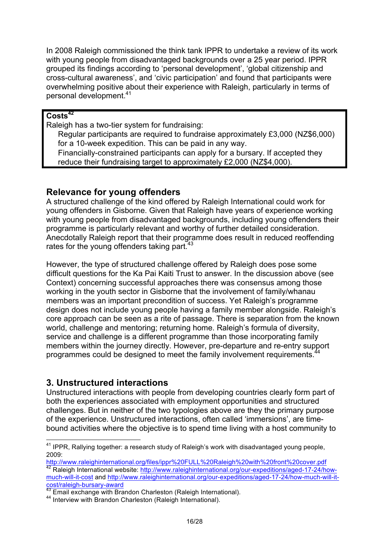In 2008 Raleigh commissioned the think tank IPPR to undertake a review of its work with young people from disadvantaged backgrounds over a 25 year period. IPPR grouped its findings according to 'personal development', 'global citizenship and cross-cultural awareness', and 'civic participation' and found that participants were overwhelming positive about their experience with Raleigh, particularly in terms of personal development.<sup>41</sup>

#### **Costs<sup>42</sup>**

Raleigh has a two-tier system for fundraising:

 Regular participants are required to fundraise approximately £3,000 (NZ\$6,000) for a 10-week expedition. This can be paid in any way. Financially-constrained participants can apply for a bursary. If accepted they reduce their fundraising target to approximately £2,000 (NZ\$4,000).

#### **Relevance for young offenders**

A structured challenge of the kind offered by Raleigh International could work for young offenders in Gisborne. Given that Raleigh have years of experience working with young people from disadvantaged backgrounds, including young offenders their programme is particularly relevant and worthy of further detailed consideration. Anecdotally Raleigh report that their programme does result in reduced reoffending rates for the young offenders taking part.<sup>43</sup>

However, the type of structured challenge offered by Raleigh does pose some difficult questions for the Ka Pai Kaiti Trust to answer. In the discussion above (see Context) concerning successful approaches there was consensus among those working in the youth sector in Gisborne that the involvement of family/whanau members was an important precondition of success. Yet Raleigh's programme design does not include young people having a family member alongside. Raleigh's core approach can be seen as a rite of passage. There is separation from the known world, challenge and mentoring; returning home. Raleigh's formula of diversity, service and challenge is a different programme than those incorporating family members within the journey directly. However, pre-departure and re-entry support programmes could be designed to meet the family involvement requirements.<sup>4</sup>

#### **3. Unstructured interactions**

Unstructured interactions with people from developing countries clearly form part of both the experiences associated with employment opportunities and structured challenges. But in neither of the two typologies above are they the primary purpose of the experience. Unstructured interactions, often called 'immersions', are timebound activities where the objective is to spend time living with a host community to

<sup>&</sup>lt;sup>41</sup> IPPR, Rallying together: a research study of Raleigh's work with disadvantaged young people, 2009:<br>http://www.raleighinternational.org/files/ippr%20FULL%20Raleigh%20with%20front%20cover.pdf

http://www.raleighinternational.org/our-expeditions/aged-17-24/how-<br><sup>42</sup> Raleigh International website: http://www.raleighinternational.org/our-expeditions/aged-17-24/howmuch-will-it-cost and http://www.raleighinternational.org/our-expeditions/aged-17-24/how-much-will-itcost/raleigh-bursary-award

 $43$  Email exchange with Brandon Charleston (Raleigh International).<br> $44$  Interview with Brandon Charleston (Raleigh International).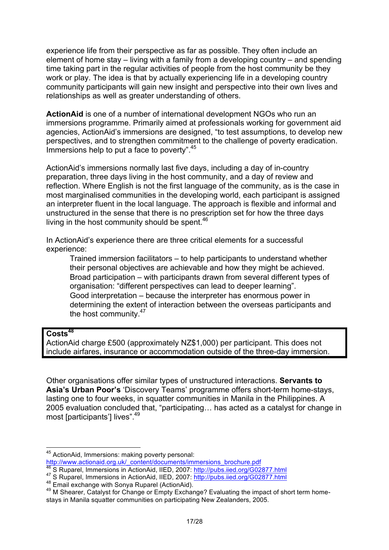experience life from their perspective as far as possible. They often include an element of home stay – living with a family from a developing country – and spending time taking part in the regular activities of people from the host community be they work or play. The idea is that by actually experiencing life in a developing country community participants will gain new insight and perspective into their own lives and relationships as well as greater understanding of others.

**ActionAid** is one of a number of international development NGOs who run an immersions programme. Primarily aimed at professionals working for government aid agencies, ActionAid's immersions are designed, "to test assumptions, to develop new perspectives, and to strengthen commitment to the challenge of poverty eradication. Immersions help to put a face to poverty".<sup>45</sup>

ActionAid's immersions normally last five days, including a day of in-country preparation, three days living in the host community, and a day of review and reflection. Where English is not the first language of the community, as is the case in most marginalised communities in the developing world, each participant is assigned an interpreter fluent in the local language. The approach is flexible and informal and unstructured in the sense that there is no prescription set for how the three days living in the host community should be spent.<sup>46</sup>

In ActionAid's experience there are three critical elements for a successful experience:

 Trained immersion facilitators – to help participants to understand whether their personal objectives are achievable and how they might be achieved. Broad participation – with participants drawn from several different types of organisation: "different perspectives can lead to deeper learning". Good interpretation – because the interpreter has enormous power in determining the extent of interaction between the overseas participants and the host community.<sup>47</sup>

#### **Costs<sup>48</sup>**

ActionAid charge £500 (approximately NZ\$1,000) per participant. This does not include airfares, insurance or accommodation outside of the three-day immersion.

Other organisations offer similar types of unstructured interactions. **Servants to Asia's Urban Poor's** 'Discovery Teams' programme offers short-term home-stays, lasting one to four weeks, in squatter communities in Manila in the Philippines. A 2005 evaluation concluded that, "participating… has acted as a catalyst for change in most [participants'] lives".<sup>49</sup>

 <sup>45</sup> ActionAid, Immersions: making poverty personal:

http://www.actionaid.org.uk/\_content/documents/immersions\_brochure.pdf<br><sup>46</sup> S Ruparel, Immersions in ActionAid, IIED, 2007: http://pubs.iied.org/G02877.html

<sup>47</sup> S Ruparel, Immersions in Action Aid, IIED, 2007: http://pubs.iied.org/G02877.html<br>48 Email exchange with Sonya Ruparel (ActionAid).<br>49 M Shearer, Catalyst for Change or Empty Exchange? Evaluating the impact of short ter stays in Manila squatter communities on participating New Zealanders, 2005.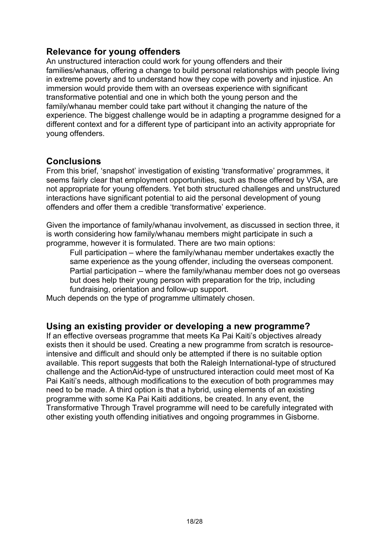### **Relevance for young offenders**

An unstructured interaction could work for young offenders and their families/whanaus, offering a change to build personal relationships with people living in extreme poverty and to understand how they cope with poverty and injustice. An immersion would provide them with an overseas experience with significant transformative potential and one in which both the young person and the family/whanau member could take part without it changing the nature of the experience. The biggest challenge would be in adapting a programme designed for a different context and for a different type of participant into an activity appropriate for young offenders.

#### **Conclusions**

From this brief, 'snapshot' investigation of existing 'transformative' programmes, it seems fairly clear that employment opportunities, such as those offered by VSA, are not appropriate for young offenders. Yet both structured challenges and unstructured interactions have significant potential to aid the personal development of young offenders and offer them a credible 'transformative' experience.

Given the importance of family/whanau involvement, as discussed in section three, it is worth considering how family/whanau members might participate in such a programme, however it is formulated. There are two main options:

 Full participation – where the family/whanau member undertakes exactly the same experience as the young offender, including the overseas component. Partial participation – where the family/whanau member does not go overseas but does help their young person with preparation for the trip, including fundraising, orientation and follow-up support.

Much depends on the type of programme ultimately chosen.

#### **Using an existing provider or developing a new programme?**

If an effective overseas programme that meets Ka Pai Kaiti's objectives already exists then it should be used. Creating a new programme from scratch is resourceintensive and difficult and should only be attempted if there is no suitable option available. This report suggests that both the Raleigh International-type of structured challenge and the ActionAid-type of unstructured interaction could meet most of Ka Pai Kaiti's needs, although modifications to the execution of both programmes may need to be made. A third option is that a hybrid, using elements of an existing programme with some Ka Pai Kaiti additions, be created. In any event, the Transformative Through Travel programme will need to be carefully integrated with other existing youth offending initiatives and ongoing programmes in Gisborne.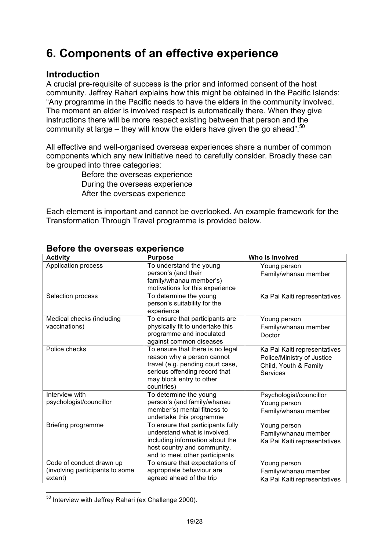# **6. Components of an effective experience**

### **Introduction**

A crucial pre-requisite of success is the prior and informed consent of the host community. Jeffrey Rahari explains how this might be obtained in the Pacific Islands: "Any programme in the Pacific needs to have the elders in the community involved. The moment an elder is involved respect is automatically there. When they give instructions there will be more respect existing between that person and the community at large – they will know the elders have given the go ahead".<sup>50</sup>

All effective and well-organised overseas experiences share a number of common components which any new initiative need to carefully consider. Broadly these can be grouped into three categories:

> Before the overseas experience During the overseas experience After the overseas experience

Each element is important and cannot be overlooked. An example framework for the Transformation Through Travel programme is provided below.

| <b>Activity</b>                                                        | <b>Purpose</b>                                                                                                                                                                | Who is involved                                                                                        |
|------------------------------------------------------------------------|-------------------------------------------------------------------------------------------------------------------------------------------------------------------------------|--------------------------------------------------------------------------------------------------------|
| Application process                                                    | To understand the young<br>person's (and their<br>family/whanau member's)<br>motivations for this experience                                                                  | Young person<br>Family/whanau member                                                                   |
| Selection process                                                      | To determine the young<br>person's suitability for the<br>experience                                                                                                          | Ka Pai Kaiti representatives                                                                           |
| Medical checks (including<br>vaccinations)                             | To ensure that participants are<br>physically fit to undertake this<br>programme and inoculated<br>against common diseases                                                    | Young person<br>Family/whanau member<br>Doctor                                                         |
| Police checks                                                          | To ensure that there is no legal<br>reason why a person cannot<br>travel (e.g. pending court case,<br>serious offending record that<br>may block entry to other<br>countries) | Ka Pai Kaiti representatives<br>Police/Ministry of Justice<br>Child, Youth & Family<br><b>Services</b> |
| Interview with<br>psychologist/councillor                              | To determine the young<br>person's (and family/whanau<br>member's) mental fitness to<br>undertake this programme                                                              | Psychologist/councillor<br>Young person<br>Family/whanau member                                        |
| Briefing programme                                                     | To ensure that participants fully<br>understand what is involved,<br>including information about the<br>host country and community,<br>and to meet other participants         | Young person<br>Family/whanau member<br>Ka Pai Kaiti representatives                                   |
| Code of conduct drawn up<br>(involving participants to some<br>extent) | To ensure that expectations of<br>appropriate behaviour are<br>agreed ahead of the trip                                                                                       | Young person<br>Family/whanau member<br>Ka Pai Kaiti representatives                                   |

#### **Before the overseas experience**

50 Interview with Jeffrey Rahari (ex Challenge 2000).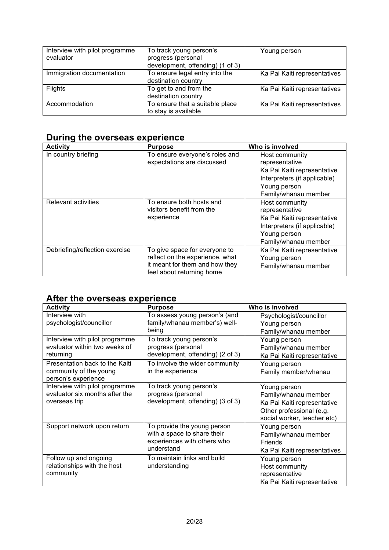| Interview with pilot programme<br>evaluator | To track young person's<br>progress (personal<br>development, offending) (1 of 3) | Young person                 |
|---------------------------------------------|-----------------------------------------------------------------------------------|------------------------------|
| Immigration documentation                   | To ensure legal entry into the<br>destination country                             | Ka Pai Kaiti representatives |
| Flights                                     | To get to and from the<br>destination country                                     | Ka Pai Kaiti representatives |
| Accommodation                               | To ensure that a suitable place<br>to stay is available                           | Ka Pai Kaiti representatives |

## **During the overseas experience**

| <b>Activity</b>                | <b>Purpose</b>                                                                                                                  | Who is involved                                                                                                                         |
|--------------------------------|---------------------------------------------------------------------------------------------------------------------------------|-----------------------------------------------------------------------------------------------------------------------------------------|
| In country briefing            | To ensure everyone's roles and<br>expectations are discussed                                                                    | Host community<br>representative<br>Ka Pai Kaiti representative<br>Interpreters (if applicable)<br>Young person<br>Family/whanau member |
| <b>Relevant activities</b>     | To ensure both hosts and<br>visitors benefit from the<br>experience                                                             | Host community<br>representative<br>Ka Pai Kaiti representative<br>Interpreters (if applicable)<br>Young person<br>Family/whanau member |
| Debriefing/reflection exercise | To give space for everyone to<br>reflect on the experience, what<br>it meant for them and how they<br>feel about returning home | Ka Pai Kaiti representative<br>Young person<br>Family/whanau member                                                                     |

# **After the overseas experience**

| <b>Activity</b>                | <b>Purpose</b>                   | Who is involved              |
|--------------------------------|----------------------------------|------------------------------|
| Interview with                 | To assess young person's (and    | Psychologist/councillor      |
| psychologist/councillor        | family/whanau member's) well-    | Young person                 |
|                                | being                            | Family/whanau member         |
| Interview with pilot programme | To track young person's          | Young person                 |
| evaluator within two weeks of  | progress (personal               | Family/whanau member         |
| returning                      | development, offending) (2 of 3) | Ka Pai Kaiti representative  |
| Presentation back to the Kaiti | To involve the wider community   | Young person                 |
| community of the young         | in the experience                | Family member/whanau         |
| person's experience            |                                  |                              |
| Interview with pilot programme | To track young person's          | Young person                 |
| evaluator six months after the | progress (personal               | Family/whanau member         |
| overseas trip                  | development, offending) (3 of 3) | Ka Pai Kaiti representative  |
|                                |                                  | Other professional (e.g.     |
|                                |                                  | social worker, teacher etc)  |
| Support network upon return    | To provide the young person      | Young person                 |
|                                | with a space to share their      | Family/whanau member         |
|                                | experiences with others who      | Friends                      |
|                                | understand                       | Ka Pai Kaiti representatives |
| Follow up and ongoing          | To maintain links and build      | Young person                 |
| relationships with the host    | understanding                    | Host community               |
| community                      |                                  | representative               |
|                                |                                  | Ka Pai Kaiti representative  |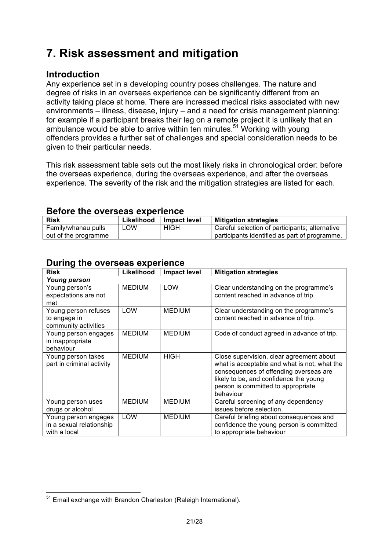# **7. Risk assessment and mitigation**

# **Introduction**

Family/whanau pulls out of the programme

Any experience set in a developing country poses challenges. The nature and degree of risks in an overseas experience can be significantly different from an activity taking place at home. There are increased medical risks associated with new environments – illness, disease, injury – and a need for crisis management planning: for example if a participant breaks their leg on a remote project it is unlikely that an ambulance would be able to arrive within ten minutes.<sup>51</sup> Working with young offenders provides a further set of challenges and special consideration needs to be given to their particular needs.

This risk assessment table sets out the most likely risks in chronological order: before the overseas experience, during the overseas experience, and after the overseas experience. The severity of the risk and the mitigation strategies are listed for each.

LOW HIGH Careful selection of participants; alternative

participants identified as part of programme.

**Risk Likelihood Impact level Mitigation strategies**

| During the overseas experience                                   |               |                     |                                                                                                                                                                                                                                 |
|------------------------------------------------------------------|---------------|---------------------|---------------------------------------------------------------------------------------------------------------------------------------------------------------------------------------------------------------------------------|
| <b>Risk</b>                                                      | Likelihood    | <b>Impact level</b> | <b>Mitigation strategies</b>                                                                                                                                                                                                    |
| <b>Young person</b>                                              |               |                     |                                                                                                                                                                                                                                 |
| Young person's<br>expectations are not<br>met                    | <b>MEDIUM</b> | LOW                 | Clear understanding on the programme's<br>content reached in advance of trip.                                                                                                                                                   |
| Young person refuses<br>to engage in<br>community activities     | LOW           | <b>MEDIUM</b>       | Clear understanding on the programme's<br>content reached in advance of trip.                                                                                                                                                   |
| Young person engages<br>in inappropriate<br>behaviour            | <b>MEDIUM</b> | <b>MEDIUM</b>       | Code of conduct agreed in advance of trip.                                                                                                                                                                                      |
| Young person takes<br>part in criminal activity                  | <b>MEDIUM</b> | <b>HIGH</b>         | Close supervision, clear agreement about<br>what is acceptable and what is not, what the<br>consequences of offending overseas are<br>likely to be, and confidence the young<br>person is committed to appropriate<br>behaviour |
| Young person uses<br>drugs or alcohol                            | <b>MEDIUM</b> | <b>MEDIUM</b>       | Careful screening of any dependency<br>issues before selection.                                                                                                                                                                 |
| Young person engages<br>in a sexual relationship<br>with a local | LOW           | <b>MEDIUM</b>       | Careful briefing about consequences and<br>confidence the young person is committed<br>to appropriate behaviour                                                                                                                 |

#### **Before the overseas experience**

 $51$  Email exchange with Brandon Charleston (Raleigh International).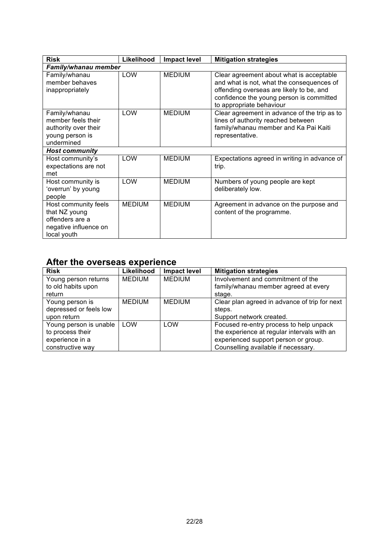| <b>Risk</b>                                                                                      | Likelihood    | <b>Impact level</b> | <b>Mitigation strategies</b>                                                                                                                                                                              |
|--------------------------------------------------------------------------------------------------|---------------|---------------------|-----------------------------------------------------------------------------------------------------------------------------------------------------------------------------------------------------------|
| Family/whanau member                                                                             |               |                     |                                                                                                                                                                                                           |
| Family/whanau<br>member behaves<br>inappropriately                                               | <b>LOW</b>    | <b>MEDIUM</b>       | Clear agreement about what is acceptable<br>and what is not, what the consequences of<br>offending overseas are likely to be, and<br>confidence the young person is committed<br>to appropriate behaviour |
| Family/whanau<br>member feels their<br>authority over their<br>young person is<br>undermined     | <b>LOW</b>    | <b>MEDIUM</b>       | Clear agreement in advance of the trip as to<br>lines of authority reached between<br>family/whanau member and Ka Pai Kaiti<br>representative.                                                            |
| <b>Host community</b>                                                                            |               |                     |                                                                                                                                                                                                           |
| Host community's<br>expectations are not<br>met                                                  | LOW           | <b>MEDIUM</b>       | Expectations agreed in writing in advance of<br>trip.                                                                                                                                                     |
| Host community is<br>'overrun' by young<br>people                                                | LOW           | <b>MEDIUM</b>       | Numbers of young people are kept<br>deliberately low.                                                                                                                                                     |
| Host community feels<br>that NZ young<br>offenders are a<br>negative influence on<br>local youth | <b>MEDIUM</b> | <b>MEDIUM</b>       | Agreement in advance on the purpose and<br>content of the programme.                                                                                                                                      |

# **After the overseas experience**

| <b>Risk</b>            | Likelihood    | <b>Impact level</b> | <b>Mitigation strategies</b>                  |
|------------------------|---------------|---------------------|-----------------------------------------------|
| Young person returns   | <b>MEDIUM</b> | <b>MEDIUM</b>       | Involvement and commitment of the             |
| to old habits upon     |               |                     | family/whanau member agreed at every          |
| return                 |               |                     | stage.                                        |
| Young person is        | <b>MEDIUM</b> | <b>MEDIUM</b>       | Clear plan agreed in advance of trip for next |
| depressed or feels low |               |                     | steps.                                        |
| upon return            |               |                     | Support network created.                      |
| Young person is unable | LOW           | LOW                 | Focused re-entry process to help unpack       |
| to process their       |               |                     | the experience at regular intervals with an   |
| experience in a        |               |                     | experienced support person or group.          |
| constructive way       |               |                     | Counselling available if necessary.           |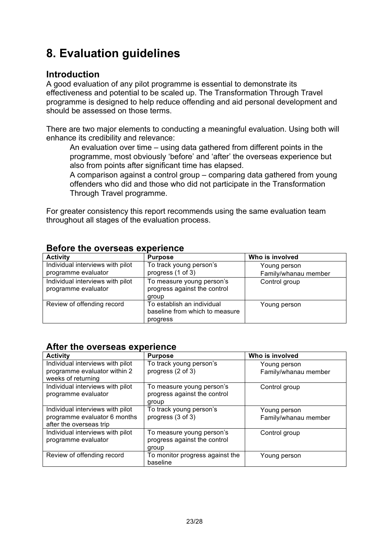# **8. Evaluation guidelines**

### **Introduction**

A good evaluation of any pilot programme is essential to demonstrate its effectiveness and potential to be scaled up. The Transformation Through Travel programme is designed to help reduce offending and aid personal development and should be assessed on those terms.

There are two major elements to conducting a meaningful evaluation. Using both will enhance its credibility and relevance:

 An evaluation over time – using data gathered from different points in the programme, most obviously 'before' and 'after' the overseas experience but also from points after significant time has elapsed.

 A comparison against a control group – comparing data gathered from young offenders who did and those who did not participate in the Transformation Through Travel programme.

For greater consistency this report recommends using the same evaluation team throughout all stages of the evaluation process.

| <b>POIDID GILD OTOIDOGO OADOI IOITOO</b> |                                |                      |  |  |
|------------------------------------------|--------------------------------|----------------------|--|--|
| <b>Activity</b>                          | <b>Purpose</b>                 | Who is involved      |  |  |
| Individual interviews with pilot         | To track young person's        | Young person         |  |  |
| programme evaluator                      | progress (1 of 3)              | Family/whanau member |  |  |
| Individual interviews with pilot         | To measure young person's      | Control group        |  |  |
| programme evaluator                      | progress against the control   |                      |  |  |
|                                          | group                          |                      |  |  |
| Review of offending record               | To establish an individual     | Young person         |  |  |
|                                          | baseline from which to measure |                      |  |  |
|                                          | progress                       |                      |  |  |

#### **Before the overseas experience**

#### **After the overseas experience**

| <b>Activity</b>                  | <b>Purpose</b>                  | Who is involved      |
|----------------------------------|---------------------------------|----------------------|
| Individual interviews with pilot | To track young person's         | Young person         |
| programme evaluator within 2     | progress (2 of 3)               | Family/whanau member |
| weeks of returning               |                                 |                      |
| Individual interviews with pilot | To measure young person's       | Control group        |
| programme evaluator              | progress against the control    |                      |
|                                  | group                           |                      |
| Individual interviews with pilot | To track young person's         | Young person         |
| programme evaluator 6 months     | progress (3 of 3)               | Family/whanau member |
| after the overseas trip          |                                 |                      |
| Individual interviews with pilot | To measure young person's       | Control group        |
| programme evaluator              | progress against the control    |                      |
|                                  | group                           |                      |
| Review of offending record       | To monitor progress against the | Young person         |
|                                  | baseline                        |                      |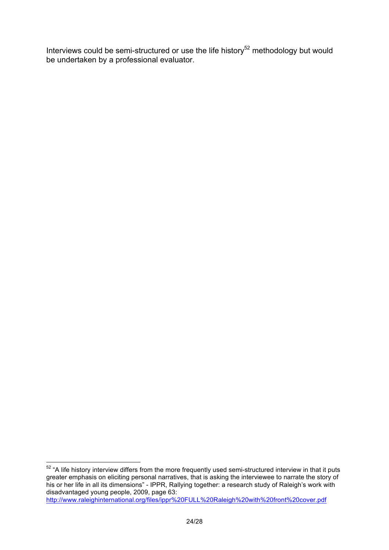Interviews could be semi-structured or use the life history<sup>52</sup> methodology but would be undertaken by a professional evaluator.

<sup>&</sup>lt;sup>52</sup> "A life history interview differs from the more frequently used semi-structured interview in that it puts greater emphasis on eliciting personal narratives, that is asking the interviewee to narrate the story of his or her life in all its dimensions" - IPPR, Rallying together: a research study of Raleigh's work with disadvantaged young people, 2009, page 63: http://www.raleighinternational.org/files/ippr%20FULL%20Raleigh%20with%20front%20cover.pdf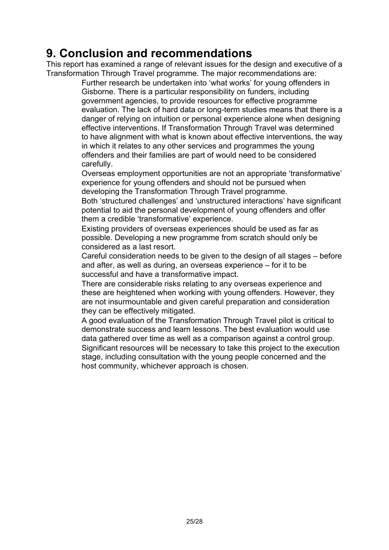# **9. Conclusion and recommendations**

This report has examined a range of relevant issues for the design and executive of a Transformation Through Travel programme. The major recommendations are:

 Further research be undertaken into 'what works' for young offenders in Gisborne. There is a particular responsibility on funders, including government agencies, to provide resources for effective programme evaluation. The lack of hard data or long-term studies means that there is a danger of relying on intuition or personal experience alone when designing effective interventions. If Transformation Through Travel was determined to have alignment with what is known about effective interventions, the way in which it relates to any other services and programmes the young offenders and their families are part of would need to be considered carefully.

 Overseas employment opportunities are not an appropriate 'transformative' experience for young offenders and should not be pursued when developing the Transformation Through Travel programme.

 Both 'structured challenges' and 'unstructured interactions' have significant potential to aid the personal development of young offenders and offer them a credible 'transformative' experience.

 Existing providers of overseas experiences should be used as far as possible. Developing a new programme from scratch should only be considered as a last resort.

 Careful consideration needs to be given to the design of all stages – before and after, as well as during, an overseas experience – for it to be successful and have a transformative impact.

 There are considerable risks relating to any overseas experience and these are heightened when working with young offenders. However, they are not insurmountable and given careful preparation and consideration they can be effectively mitigated.

 A good evaluation of the Transformation Through Travel pilot is critical to demonstrate success and learn lessons. The best evaluation would use data gathered over time as well as a comparison against a control group. Significant resources will be necessary to take this project to the execution stage, including consultation with the young people concerned and the host community, whichever approach is chosen.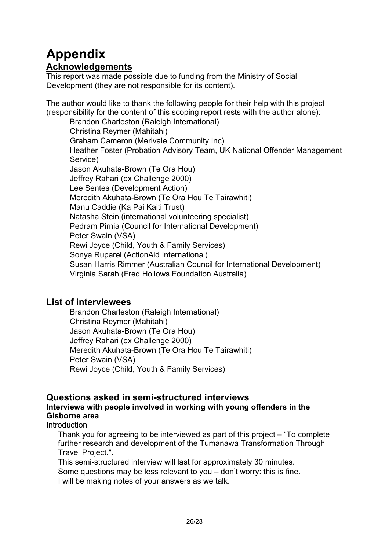# **Appendix**

### **Acknowledgements**

This report was made possible due to funding from the Ministry of Social Development (they are not responsible for its content).

The author would like to thank the following people for their help with this project (responsibility for the content of this scoping report rests with the author alone):

 Brandon Charleston (Raleigh International) Christina Reymer (Mahitahi) Graham Cameron (Merivale Community Inc) Heather Foster (Probation Advisory Team, UK National Offender Management Service) Jason Akuhata-Brown (Te Ora Hou) Jeffrey Rahari (ex Challenge 2000) Lee Sentes (Development Action) Meredith Akuhata-Brown (Te Ora Hou Te Tairawhiti) Manu Caddie (Ka Pai Kaiti Trust) Natasha Stein (international volunteering specialist) Pedram Pirnia (Council for International Development) Peter Swain (VSA) Rewi Joyce (Child, Youth & Family Services) Sonya Ruparel (ActionAid International) Susan Harris Rimmer (Australian Council for International Development) Virginia Sarah (Fred Hollows Foundation Australia)

#### **List of interviewees**

 Brandon Charleston (Raleigh International) Christina Reymer (Mahitahi) Jason Akuhata-Brown (Te Ora Hou) Jeffrey Rahari (ex Challenge 2000) Meredith Akuhata-Brown (Te Ora Hou Te Tairawhiti) Peter Swain (VSA) Rewi Joyce (Child, Youth & Family Services)

# **Questions asked in semi-structured interviews**

#### **Interviews with people involved in working with young offenders in the Gisborne area**

**Introduction** 

 Thank you for agreeing to be interviewed as part of this project – "To complete further research and development of the Tumanawa Transformation Through Travel Project.".

 This semi-structured interview will last for approximately 30 minutes. Some questions may be less relevant to you – don't worry: this is fine. I will be making notes of your answers as we talk.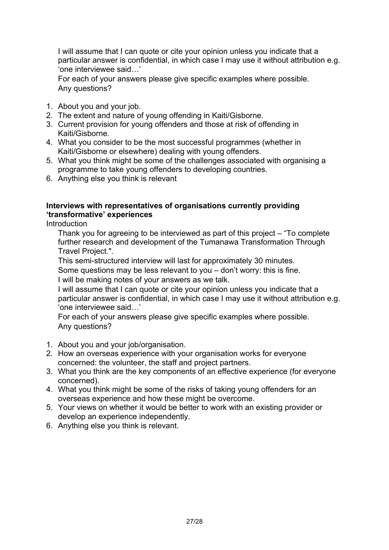I will assume that I can quote or cite your opinion unless you indicate that a particular answer is confidential, in which case I may use it without attribution e.g. 'one interviewee said…'

 For each of your answers please give specific examples where possible. Any questions?

- 1. About you and your job.
- 2. The extent and nature of young offending in Kaiti/Gisborne.
- 3. Current provision for young offenders and those at risk of offending in Kaiti/Gisborne.
- 4. What you consider to be the most successful programmes (whether in Kaiti/Gisborne or elsewhere) dealing with young offenders.
- 5. What you think might be some of the challenges associated with organising a programme to take young offenders to developing countries.
- 6. Anything else you think is relevant

#### **Interviews with representatives of organisations currently providing 'transformative' experiences**

**Introduction** 

 Thank you for agreeing to be interviewed as part of this project – "To complete further research and development of the Tumanawa Transformation Through Travel Project.".

This semi-structured interview will last for approximately 30 minutes.

Some questions may be less relevant to you – don't worry: this is fine.

I will be making notes of your answers as we talk.

 I will assume that I can quote or cite your opinion unless you indicate that a particular answer is confidential, in which case I may use it without attribution e.g. 'one interviewee said…'

 For each of your answers please give specific examples where possible. Any questions?

- 1. About you and your job/organisation.
- 2. How an overseas experience with your organisation works for everyone concerned: the volunteer, the staff and project partners.
- 3. What you think are the key components of an effective experience (for everyone concerned).
- 4. What you think might be some of the risks of taking young offenders for an overseas experience and how these might be overcome.
- 5. Your views on whether it would be better to work with an existing provider or develop an experience independently.
- 6. Anything else you think is relevant.